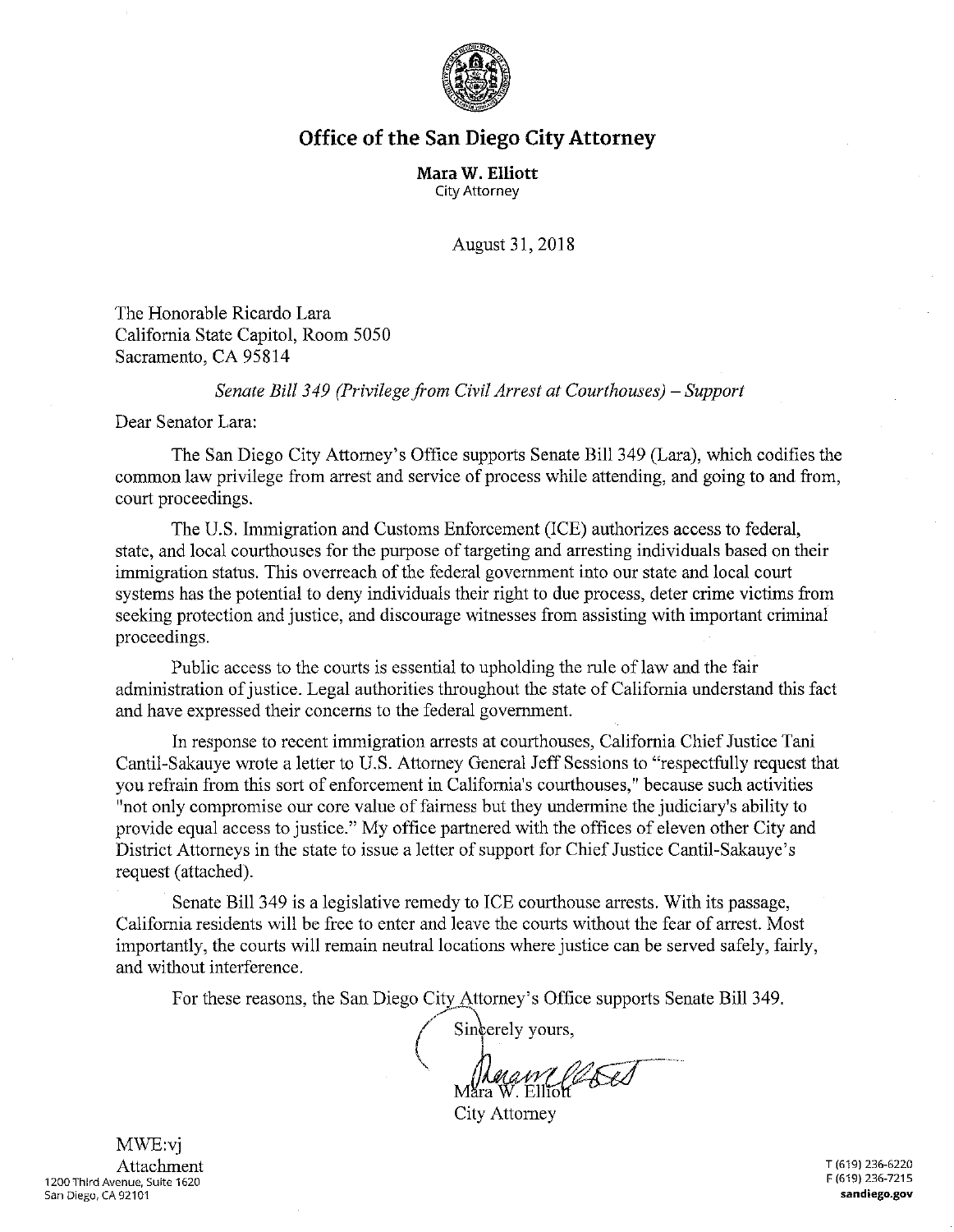

## **Office of the San Diego City Attorney**

**Mara W. Elliott**  City Attorney

August 31, 2018

The Honorable Ricardo Lara California State Capitol, Room 5050 Sacramento, CA 95814

*Senate Bill 349 (Privilege from Civil Arrest at Courthouses) – Support* 

Dear Senator Lara:

The San Diego City Attorney's Office supports Senate Bill 349 (Lara), which codifies the common law privilege from arrest and service of process while attending, and going to and from, court proceedings.

The U.S. Immigration and Customs Enforcement (ICE) authorizes access to federal, state, and local courthouses for the purpose of targeting and arresting individuals based on their immigration status. This overreach of the federal government into our state and local court systems has the potential to deny individuals their right to due process, deter crime victims from seeking protection and justice, and discourage witnesses from assisting with important criminal proceedings.

Public access to the courts is essential to upholding the rule of law and the fair administration of justice. Legal authorities throughout the state of California understand this fact and have expressed their concerns to the federal government.

In response to recent immigration arrests at courthouses, California Chief Justice Tani Cantil-Sakauye wrote a letter to U.S. Attorney General Jeff Sessions to "respectfully request that you refrain from this sort of enforcement in California's courthouses," because such activities "not only compromise our core value of fairness but they undermine the judiciary's ability to provide equal access to justice." My office partnered with the offices of eleven other City and District Attorneys in the state to issue a letter of support for Chief Justice Cantil-Sakauye's request (attached).

Senate Bill 349 is a legislative remedy to ICE courthouse arrests. With its passage, California residents will be free to enter and leave the courts without the fear of arrest. Most importantly, the courts will remain neutral locations where justice can be served safely, fairly, and without interference.

For these reasons, the San Diego City Attorney's Office supports Senate Bill 349.

Sincerely yours,

Magne Cost

City Attorney

MWE:vj Attachment 1200 Third Avenue, Suite 1620 San Diego, CA 92101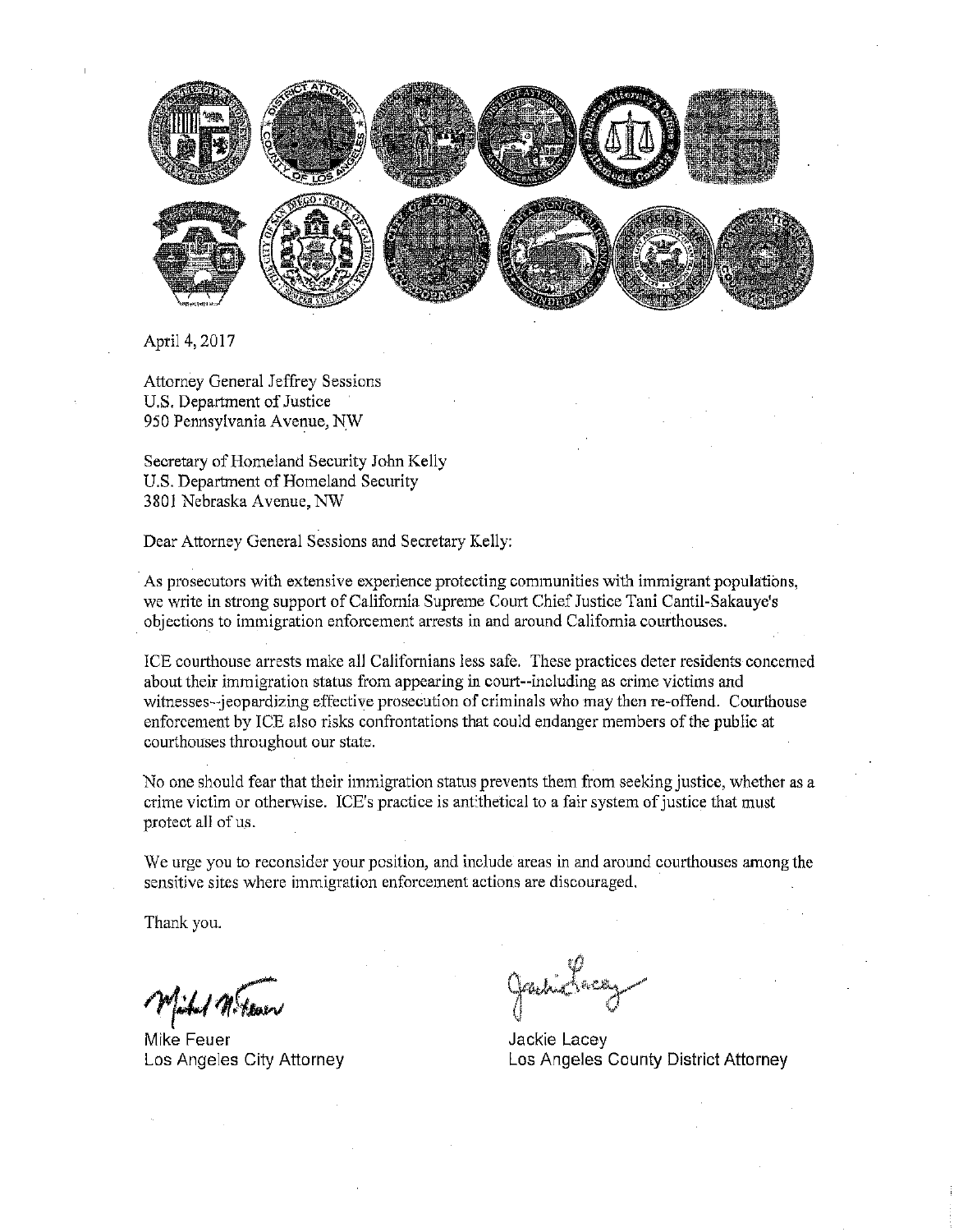

April 4, 2017

Attorney General Jeffrey Sessions U.S. Department of Justice 950 Pennsylvania Avenue, N\_W

Secretary of Homeland Security John Kelly U.S. Department of Homeland Security 3801 Nebraska Avenue, NW

Dear Attorney General Sessions and Secretary Kelly:

As prosecutors with extensive experience protecting communities with immigrant populations, we write in strong support of California Supreme Court Chief Justice Tani Cantil-Sakauye's objections to immigration enforcement arrests in and around California courthouses.

ICE courthouse arrests make all Californians less safe. These practices deter residents concerned about their immigration status from appearing in court--including as crime victims and witnesses--jeopardizing effective prosecution of criminals who may then re-offend. Courthouse enforcement by ICE also risks confrontations that could endanger members of the public at courthouses throughout our state.

No one should fear that their immigration status prevents them from seeking justice, whether as a crime victim or otherwise. ICE's practice is ant'thetical to a fair system of justice that must protect all of us.

We urge you to reconsider your position, and include areas in and around courthouses among the sensitive sites where immigration enforcement actions are discouraged.

Thank you.

With 19. Fever

Mike Feuer Nobel and Mike Feuer Allective Article City Attorney<br>
Los Angeles City Attorney Nobel Angeles (Nobel and Article Angeles (Nobel and Article and Article and Article

Jachichae

Los Angeles County District Attorney